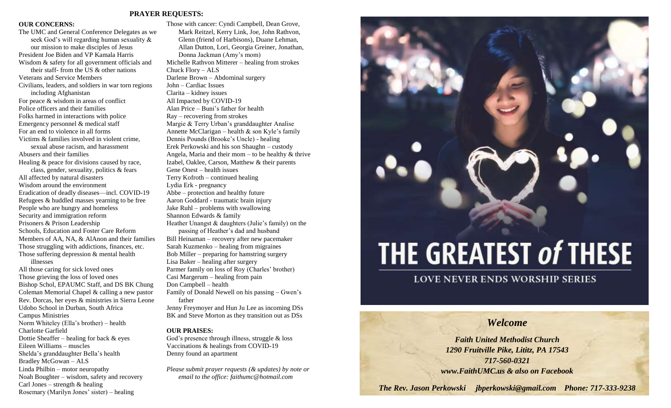### **PRAYER REQUESTS:**

### **OUR CONCERNS:**

The UMC and General Conference Delegates as we seek God's will regarding human sexuality & our mission to make disciples of Jesus President Joe Biden and VP Kamala Harris Wisdom & safety for all government officials and their staff- from the US & other nations Veterans and Service Members Civilians, leaders, and soldiers in war torn regions including Afghanistan For peace & wisdom in areas of conflict Police officers and their families Folks harmed in interactions with police Emergency personnel & medical staff For an end to violence in all forms Victims & families involved in violent crime, sexual abuse racism, and harassment Abusers and their families Healing & peace for divisions caused by race, class, gender, sexuality, politics & fears All affected by natural disasters Wisdom around the environment Eradication of deadly diseases—incl. COVID-19 Refugees & huddled masses yearning to be free People who are hungry and homeless Security and immigration reform Prisoners & Prison Leadership Schools, Education and Foster Care Reform Members of AA, NA, & AlAnon and their families Those struggling with addictions, finances, etc. Those suffering depression & mental health illnesses All those caring for sick loved ones Those grieving the loss of loved ones Bishop Schol, EPAUMC Staff, and DS BK Chung Coleman Memorial Chapel & calling a new pastor Rev. Dorcas, her eyes & ministries in Sierra Leone Udobo School in Durban, South Africa Campus Ministries Norm Whiteley (Ella's brother) – health Charlotte Garfield Dottie Sheaffer – healing for back & eyes Eileen Williams – muscles Shelda's granddaughter Bella's health Bradley McGowan – ALS

Linda Philbin – motor neuropathy

Noah Boughter – wisdom, safety and recovery Carl Jones – strength  $&$  healing Rosemary (Marilyn Jones' sister) – healing

Those with cancer: Cyndi Campbell, Dean Grove, Mark Reitzel, Kerry Link, Joe, John Rathvon, Glenn (friend of Harbisons), Duane Lehman, Allan Dutton, Lori, Georgia Greiner, Jonathan, Donna Jackman (Amy's mom) Michelle Rathvon Mitterer – healing from strokes Chuck Flory – ALS Darlene Brown – Abdominal surgery John – Cardiac Issues Clarita – kidney issues All Impacted by COVID-19 Alan Price – Buni's father for health Ray – recovering from strokes Margie & Terry Urban's granddaughter Analise Annette McClarigan – health  $\&$  son Kyle's family Dennis Pounds (Brooke's Uncle) - healing Erek Perkowski and his son Shaughn – custody Angela, Maria and their mom – to be healthy  $&$  thrive Izabel, Oaklee, Carson, Matthew & their parents Gene Onest – health issues Terry Kofroth – continued healing Lydia Erk - pregnancy Abbe – protection and healthy future Aaron Goddard - traumatic brain injury Jake Ruhl – problems with swallowing Shannon Edwards & family Heather Unangst & daughters (Julie's family) on the passing of Heather's dad and husband Bill Heinaman – recovery after new pacemaker Sarah Kuzmenko – healing from migraines Bob Miller – preparing for hamstring surgery Lisa Baker – healing after surgery Parmer family on loss of Roy (Charles' brother) Casi Margerum – healing from pain Don Campbell – health Family of Donald Newell on his passing – Gwen's

father Jenny Freymoyer and Hun Ju Lee as incoming DSs BK and Steve Morton as they transition out as DSs

### **OUR PRAISES:**

God's presence through illness, struggle & loss Vaccinations & healings from COVID-19 Denny found an apartment

*Please submit prayer requests (& updates) by note or email to the office: faithumc@hotmail.com*



## **LOVE NEVER ENDS WORSHIP SERIES**

# *Welcome*

*Faith United Methodist Church 1290 Fruitville Pike, Lititz, PA 17543 717-560-0321 www.FaithUMC.us & also on Facebook*

*The Rev. Jason Perkowski jbperkowski@gmail.com Phone: 717-333-9238*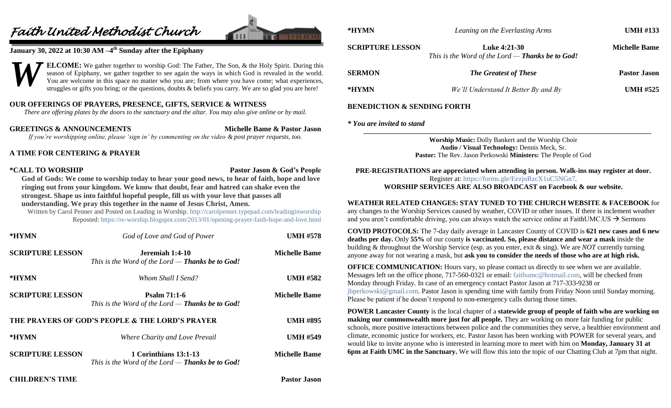# *Faith United Methodist Church*



### **January 30, 2022 at 10:30 AM –4 th Sunday after the Epiphany**

**ELCOME:** We gather together to worship God: The Father, The Son, & the Holy Spirit. During this season of Epiphany, we gather together to see again the ways in which God is revealed in the world. You are welcome in this space no matter who you are; from where you have come; what experiences, struggles or gifts you bring; or the questions, doubts & beliefs you carry. We are so glad you are here! *W*

### **OUR OFFERINGS OF PRAYERS, PRESENCE, GIFTS, SERVICE & WITNESS**

*There are offering plates by the doors to the sanctuary and the altar. You may also give online or by mail.*

**GREETINGS & ANNOUNCEMENTS Michelle Bame & Pastor Jason** *If you're worshipping online, please 'sign in' by commenting on the video & post prayer requests, too.*

### **A TIME FOR CENTERING & PRAYER**

### **\*CALL TO WORSHIP Pastor Jason & God's People**

**God of Gods: We come to worship today to hear your good news, to hear of faith, hope and love ringing out from your kingdom. We know that doubt, fear and hatred can shake even the strongest. Shape us into faithful hopeful people, fill us with your love that passes all understanding. We pray this together in the name of Jesus Christ, Amen.**

Written by Carol Penner and Posted on Leading in Worship.<http://carolpenner.typepad.com/leadinginworship> Reposted[: https://re-worship.blogspot.com/2013/01/opening-prayer-faith-hope-and-love.html](https://re-worship.blogspot.com/2013/01/opening-prayer-faith-hope-and-love.html)

| *HYMN                                           | God of Love and God of Power                                                     | <b>UMH #578</b>      |
|-------------------------------------------------|----------------------------------------------------------------------------------|----------------------|
| <b>SCRIPTURE LESSON</b>                         | Jeremiah 1:4-10<br>This is the Word of the Lord — <b>Thanks be to God!</b>       | <b>Michelle Bame</b> |
| *HYMN                                           | Whom Shall I Send?                                                               | <b>UMH #582</b>      |
| <b>SCRIPTURE LESSON</b>                         | Psalm $71:1-6$<br>This is the Word of the Lord — <b>Thanks be to God!</b>        | <b>Michelle Bame</b> |
| THE PRAYERS OF GOD'S PEOPLE & THE LORD'S PRAYER |                                                                                  | <b>UMH #895</b>      |
| *HYMN                                           | Where Charity and Love Prevail                                                   | <b>UMH #549</b>      |
| <b>SCRIPTURE LESSON</b>                         | 1 Corinthians 13:1-13<br>This is the Word of the Lord — <b>Thanks be to God!</b> | <b>Michelle Bame</b> |

**\*HYMN** *Leaning on the Everlasting Arms* **UMH #133 SCRIPTURE LESSON Luke 4:21-30 Michelle Bame** *This is the Word of the Lord — Thanks be to God!* **SERMON** *The Greatest of These* **Pastor Jason \*HYMN** *We'll Understand It Better By and By* **UMH #525**

### **BENEDICTION & SENDING FORTH**

### *\* You are invited to stand*

**Worship Music:** Dolly Bankert and the Worship Choir **Audio / Visual Technology:** Dennis Meck, Sr. **Pastor:** The Rev. Jason Perkowski **Ministers:** The People of God

**PRE-REGISTRATIONS are appreciated when attending in person. Walk-ins may register at door.**  Register at:<https://forms.gle/EezjoRzcX1uC5NGn7>*.* **WORSHIP SERVICES ARE ALSO BROADCAST on Facebook & our website.**

**WEATHER RELATED CHANGES: STAY TUNED TO THE CHURCH WEBSITE & FACEBOOK** for any changes to the Worship Services caused by weather, COVID or other issues. If there is inclement weather

and you aren't comfortable driving, you can always watch the service online at FaithUMC.US  $\rightarrow$  Sermons

**COVID PROTOCOLS:** The 7-day daily average in Lancaster County of COVID is **621 new cases and 6 new deaths per day.** Only **55%** of our county **is vaccinated. So, please distance and wear a mask** inside the building & throughout the Worship Service (esp. as you enter, exit & sing). We are *NOT* currently turning anyone away for not wearing a mask, but **ask you to consider the needs of those who are at high risk.**

**OFFICE COMMUNICATION:** Hours vary, so please contact us directly to see when we are available. Messages left on the office phone, 717-560-0321 or email: [faithumc@hotmail.com,](mailto:faithumc@hotmail.com) will be checked from Monday through Friday. In case of an emergency contact Pastor Jason at 717-333-9238 or [jbperkowski@gmail.com.](mailto:jbperkowski@gmail.com) Pastor Jason is spending time with family from Friday Noon until Sunday morning. Please be patient if he doesn't respond to non-emergency calls during those times.

**POWER Lancaster County** is the local chapter of a **statewide group of people of faith who are working on making our commonwealth more just for all people.** They are working on more fair funding for public schools, more positive interactions between police and the communities they serve, a healthier environment and climate, economic justice for workers, etc. Pastor Jason has been working with POWER for several years, and would like to invite anyone who is interested in learning more to meet with him on **Monday, January 31 at 6pm at Faith UMC in the Sanctuary.** We will flow this into the topic of our Chatting Club at 7pm that night.

### **CHILDREN'S TIME Pastor Jason**